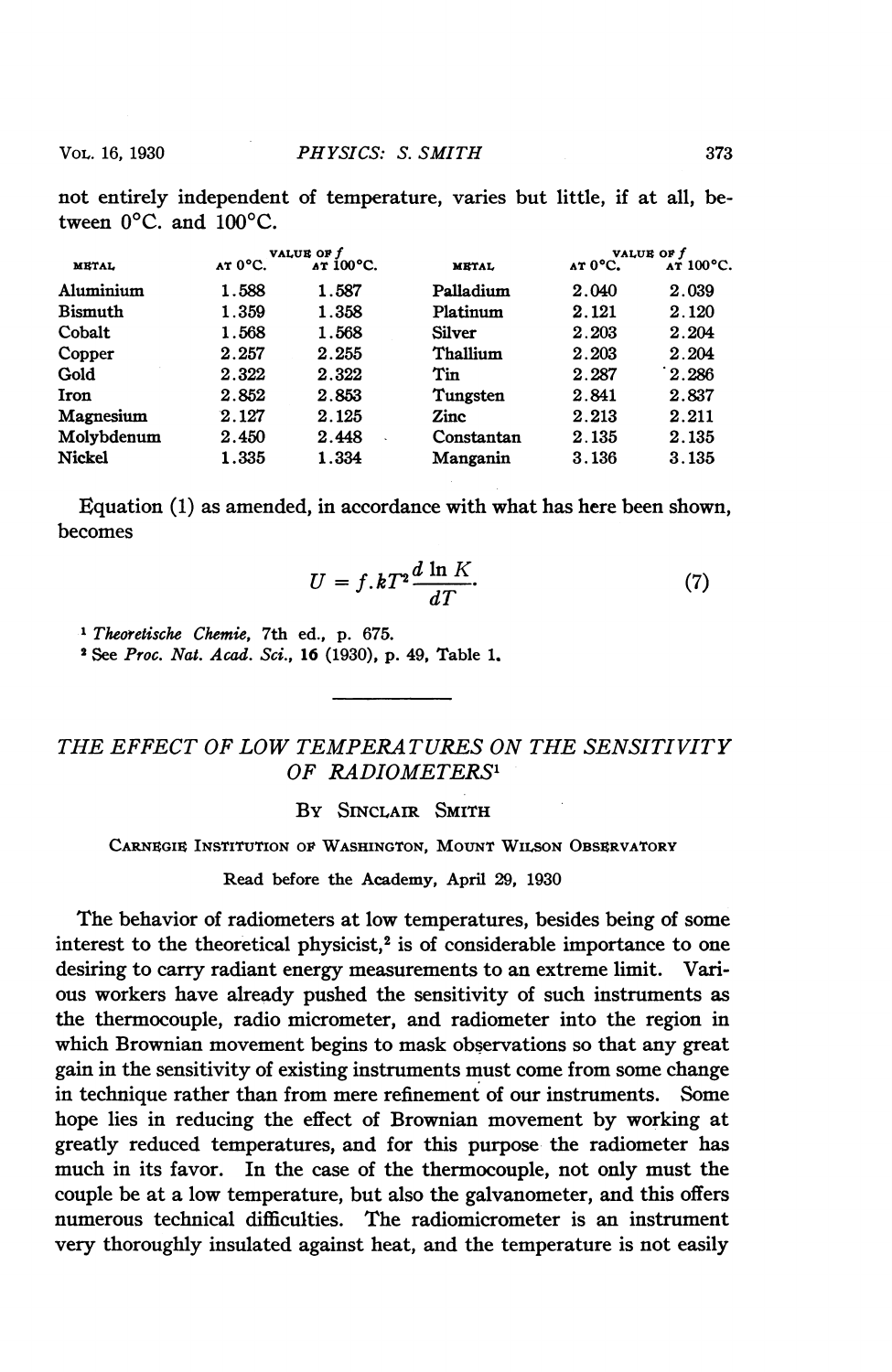not entirely independent of temperature, varies but little, if at all, between  $0^{\circ}$ C. and  $100^{\circ}$ C.

|                | VALUE OF f |            |               | VALUE OF f |           |
|----------------|------------|------------|---------------|------------|-----------|
| <b>METAL</b>   | AT 0°C.    | AT 100 °C. | <b>METAL</b>  | AT 0°C.    | лт 100°С. |
| Aluminium      | 1.588      | 1.587      | Palladium     | 2.040      | 2.039     |
| <b>Bismuth</b> | 1.359      | 1.358      | Platinum      | 2.121      | 2.120     |
| Cobalt         | 1.568      | 1.568      | <b>Silver</b> | 2.203      | 2.204     |
| Copper         | 2.257      | 2.255      | Thallium      | 2.203      | 2.204     |
| Gold           | 2.322      | 2.322      | Tin           | 2.287      | 2.286     |
| Iron           | 2.852      | 2.853      | Tungsten      | 2.841      | 2.837     |
| Magnesium      | 2.127      | 2.125      | Zinc          | 2.213      | 2.211     |
| Molybdenum     | 2.450      | 2.448      | Constantan    | 2.135      | 2.135     |
| <b>Nickel</b>  | 1.335      | 1.334      | Manganin      | 3.136      | 3.135     |
|                |            |            |               |            |           |

Equation (1) as amended, in accordance with what has here been shown, becomes

$$
U = f \cdot kT^2 \frac{d \ln K}{dT}.\tag{7}
$$

<sup>1</sup> Theoretische Chemie, 7th ed., p. 675.

<sup>2</sup> See Proc. Nat. Acad. Sci., 16 (1930), p. 49, Table 1.

THE EFFECT OF LOW TEMPERATURES ON THE SENSITIVITY OF RADIOMETERS'

BY SINCLAIR SMITH

CARNEGIE INSTITUTION OF WASHINGTON, MOUNT WILSON OBSERVATORY

Read before the Academy, April 29, 1930

The behavior of radiometers at low temperatures, besides being of some interest to the theoretical physicist, $2$  is of considerable importance to one desiring to carry radiant energy measurements to an extreme limit. Various workers have already pushed the sensitivity of such instruments as the thermocouple, radio micrometer, and radiometer into the region in which Brownian movement begins to mask observations so that any great gain in the sensitivity of existing instruments must come from some change in technique rather than from mere refinement of our instruments. Some hope lies in reducing the effect of Brownian movement by working at greatly reduced temperatures, and for this purpose the radiometer has much in its favor. In the case of the thermocouple, not only must the couple be at a low temperature, but also the galvanometer, and this offers numerous technical difficulties. The radiomicrometer is an instrument very thoroughly insulated against heat, and the temperature is not easily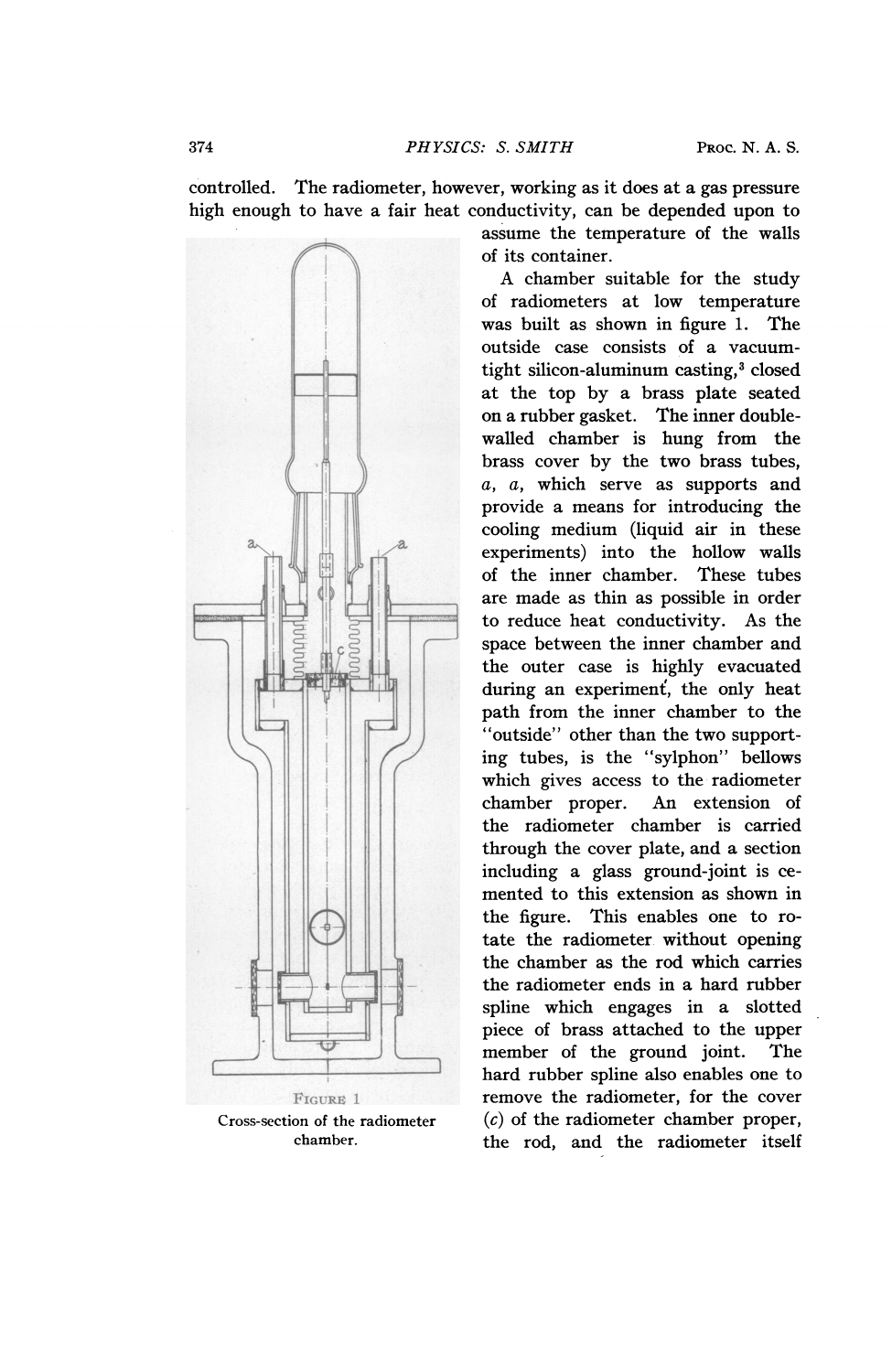controlled. The radiometer, however, working as it does at a gas pressure high enough to have a fair heat conductivity, can be depended upon to



assume the temperature of the walls of its container.

A chamber suitable for the study of radiometers at low temperature was built as shown in figure 1. The outside case consists of a vacuumtight silicon-aluminum casting,<sup>3</sup> closed at the top by a brass plate seated on a rubber gasket. The inner doublewalled chamber is hung from the brass cover by the two brass tubes,  $a, a$ , which serve as supports and provide a means for introducing the cooling medium (liquid air in these experiments) into the hollow walls<br>of the inner chamber. These tubes of the inner chamber. 41| ----qiiaremade as thin as possible in order -T--------- to reduce heat conductivity. As the space between the inner chamber and the outer case is highly evacuated during an experiment, the only heat path from the inner chamber to the "outside" other than the two supporting tubes, is the "sylphon" bellows which gives access to the radiometer<br>chamber proper. An extension of chamber proper.  $\|\cdot\|$  the radiometer chamber is carried through the cover plate, and a section<br>including a glass ground-joint is cechamber proper. An extension of<br>the radiometer chamber is carried<br>through the cover plate, and a section<br>including a glass ground-joint is ce-<br>mented to this extension as shown in which gives access to the radiometer<br>
chamber proper. An extension of<br>
the radiometer chamber is carried<br>
through the cover plate, and a section<br>
including a glass ground-joint is ce-<br>
mented to this extension as shown in<br> the figure. This enables one to rotate the radiometer without opening the chamber as the rod which carries the radiometer ends in a hard rubber spline which engages in a slotted piece of brass attached to the upper member of the ground joint. The hard rubber spline also enables one to remove the radiometer, for the cover Cross-section of the radiometer  $(c)$  of the radiometer chamber proper, chamber. the rod, and the radiometer itself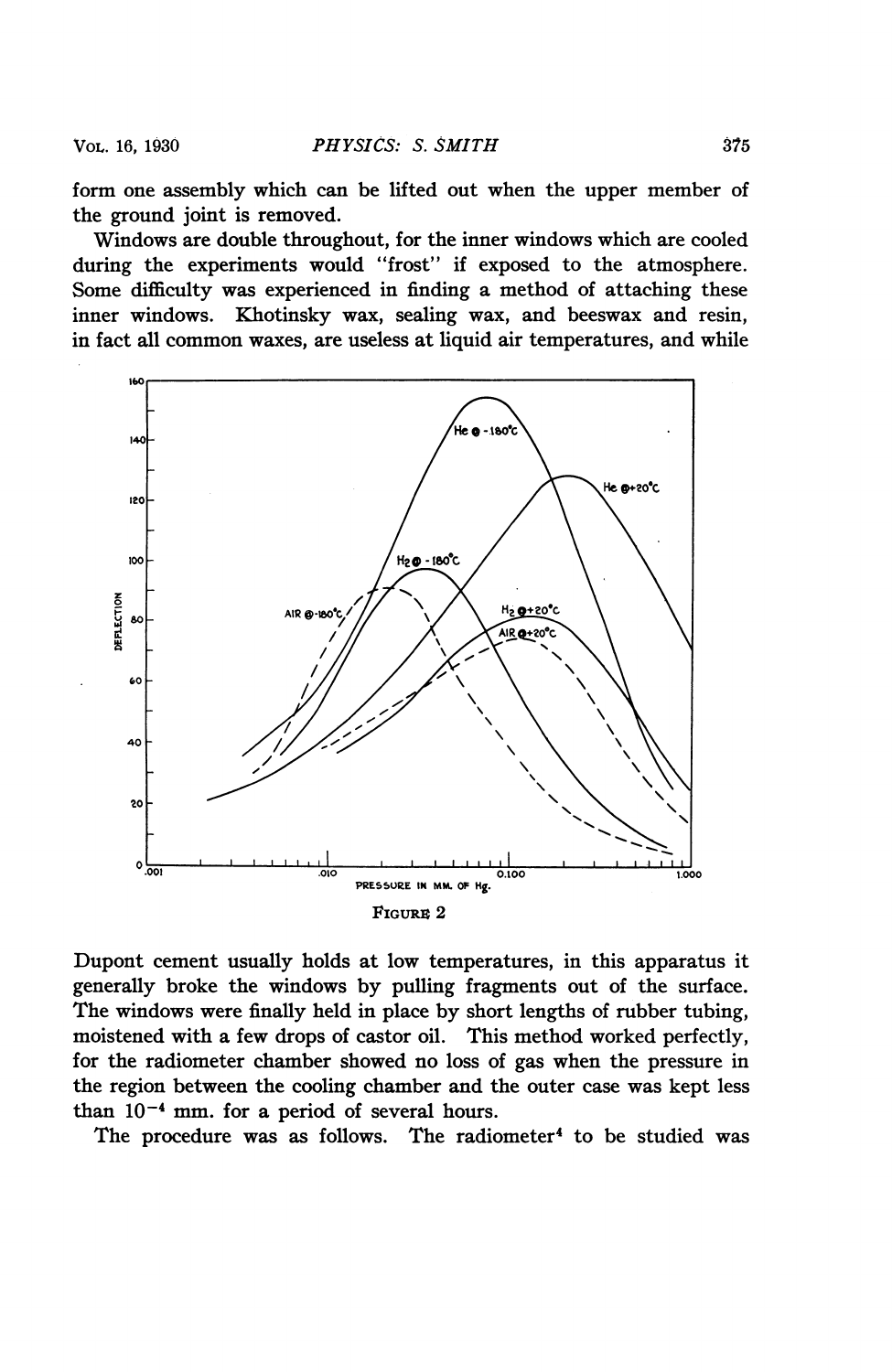form one assembly which can be lifted out when the upper member of the ground joint is removed.

Windows are double throughout, for the inner windows which are cooled during the experiments would "frost" if exposed to the atmosphere. Some difficulty was experienced in finding a method of attaching these inner windows. Khotinsky wax, sealing wax, and beeswax and resin, in fact all common waxes, are useless at liquid air temperatures, and while



Dupont cement usually holds at low temperatures, in this apparatus it generally broke the windows by pulling fragments out of the surface. The windows were finally held in place by short lengths of rubber tubing, moistened with a few drops of castor oil. This method worked perfectly, for the radiometer chamber showed no loss of gas when the pressure in the region between the cooling chamber and the outer case was kept less than  $10^{-4}$  mm. for a period of several hours.

The procedure was as follows. The radiometer<sup>4</sup> to be studied was